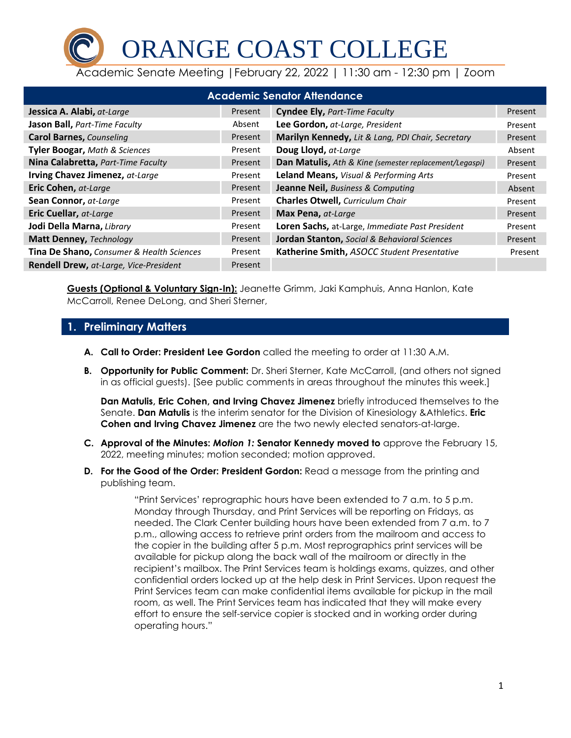ORANGE COAST COLLEGE

Academic Senate Meeting |February 22, 2022 | 11:30 am - 12:30 pm | Zoom

| <b>Academic Senator Attendance</b>        |         |                                                        |         |  |
|-------------------------------------------|---------|--------------------------------------------------------|---------|--|
| Jessica A. Alabi, at-Large                | Present | <b>Cyndee Ely, Part-Time Faculty</b>                   | Present |  |
| Jason Ball, Part-Time Faculty             | Absent  | Lee Gordon, at-Large, President                        | Present |  |
| <b>Carol Barnes, Counseling</b>           | Present | Marilyn Kennedy, Lit & Lang, PDI Chair, Secretary      | Present |  |
| <b>Tyler Boogar, Math &amp; Sciences</b>  | Present | Doug Lloyd, at-Large                                   | Absent  |  |
| Nina Calabretta, Part-Time Faculty        | Present | Dan Matulis, Ath & Kine (semester replacement/Legaspi) | Present |  |
| Irving Chavez Jimenez, at-Large           | Present | Leland Means, Visual & Performing Arts                 | Present |  |
| Eric Cohen, at-Large                      | Present | <b>Jeanne Neil, Business &amp; Computing</b>           | Absent  |  |
| Sean Connor, at-Large                     | Present | <b>Charles Otwell, Curriculum Chair</b>                | Present |  |
| Eric Cuellar, at-Large                    | Present | Max Pena, at-Large                                     | Present |  |
| Jodi Della Marna, Library                 | Present | Loren Sachs, at-Large, Immediate Past President        | Present |  |
| Matt Denney, Technology                   | Present | Jordan Stanton, Social & Behavioral Sciences           | Present |  |
| Tina De Shano, Consumer & Health Sciences | Present | Katherine Smith, ASOCC Student Presentative            | Present |  |
| Rendell Drew, at-Large, Vice-President    | Present |                                                        |         |  |

**Guests (Optional & Voluntary Sign-In):** Jeanette Grimm, Jaki Kamphuis, Anna Hanlon, Kate McCarroll, Renee DeLong, and Sheri Sterner,

## **1. Preliminary Matters**

- **A. Call to Order: President Lee Gordon** called the meeting to order at 11:30 A.M.
- **B. Opportunity for Public Comment:** Dr. Sheri Sterner, Kate McCarroll, (and others not signed in as official guests). [See public comments in areas throughout the minutes this week.]

**Dan Matulis, Eric Cohen, and Irving Chavez Jimenez** briefly introduced themselves to the Senate. **Dan Matulis** is the interim senator for the Division of Kinesiology &Athletics. **Eric Cohen and Irving Chavez Jimenez** are the two newly elected senators-at-large.

- **C. Approval of the Minutes:** *Motion 1:* **Senator Kennedy moved to** approve the February 15, 2022, meeting minutes; motion seconded; motion approved.
- **D. For the Good of the Order: President Gordon:** Read a message from the printing and publishing team.

"Print Services' reprographic hours have been extended to 7 a.m. to 5 p.m. Monday through Thursday, and Print Services will be reporting on Fridays, as needed. The Clark Center building hours have been extended from 7 a.m. to 7 p.m., allowing access to retrieve print orders from the mailroom and access to the copier in the building after 5 p.m. Most reprographics print services will be available for pickup along the back wall of the mailroom or directly in the recipient's mailbox. The Print Services team is holdings exams, quizzes, and other confidential orders locked up at the help desk in Print Services. Upon request the Print Services team can make confidential items available for pickup in the mail room, as well. The Print Services team has indicated that they will make every effort to ensure the self-service copier is stocked and in working order during operating hours."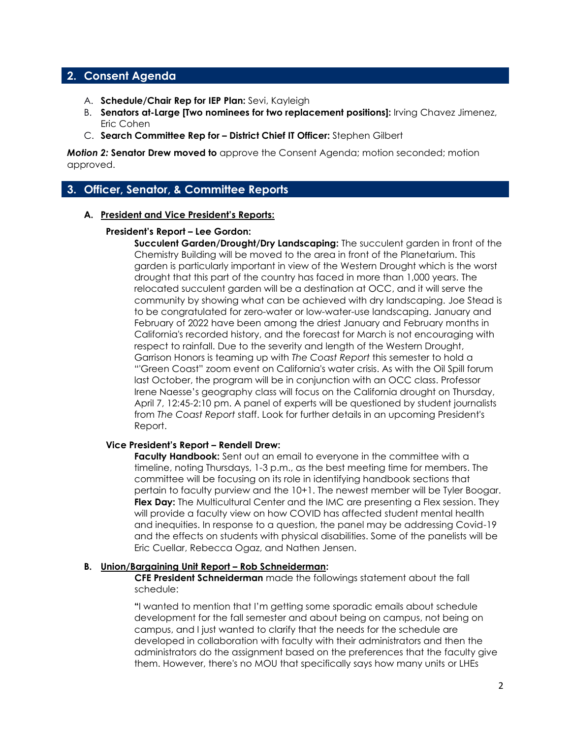## **2. Consent Agenda**

- A. **Schedule/Chair Rep for IEP Plan:** Sevi, Kayleigh
- B. **Senators at-Large [Two nominees for two replacement positions]:** Irving Chavez Jimenez, Eric Cohen
- C. **Search Committee Rep for – District Chief IT Officer:** Stephen Gilbert

*Motion 2:* **Senator Drew moved to** approve the Consent Agenda; motion seconded; motion approved.

### **3. Officer, Senator, & Committee Reports**

#### **A. President and Vice President's Reports:**

#### **President's Report – Lee Gordon:**

**Succulent Garden/Drought/Dry Landscaping:** The succulent garden in front of the Chemistry Building will be moved to the area in front of the Planetarium. This garden is particularly important in view of the Western Drought which is the worst drought that this part of the country has faced in more than 1,000 years. The relocated succulent garden will be a destination at OCC, and it will serve the community by showing what can be achieved with dry landscaping. Joe Stead is to be congratulated for zero-water or low-water-use landscaping. January and February of 2022 have been among the driest January and February months in California's recorded history, and the forecast for March is not encouraging with respect to rainfall. Due to the severity and length of the Western Drought, Garrison Honors is teaming up with *The Coast Report* this semester to hold a "'Green Coast" zoom event on California's water crisis. As with the Oil Spill forum last October, the program will be in conjunction with an OCC class. Professor Irene Naesse's geography class will focus on the California drought on Thursday, April 7, 12:45-2:10 pm. A panel of experts will be questioned by student journalists from *The Coast Report* staff. Look for further details in an upcoming President's Report.

#### **Vice President's Report – Rendell Drew:**

**Faculty Handbook:** Sent out an email to everyone in the committee with a timeline, noting Thursdays, 1-3 p.m., as the best meeting time for members. The committee will be focusing on its role in identifying handbook sections that pertain to faculty purview and the 10+1. The newest member will be Tyler Boogar. **Flex Day:** The Multicultural Center and the IMC are presenting a Flex session. They will provide a faculty view on how COVID has affected student mental health and inequities. In response to a question, the panel may be addressing Covid-19 and the effects on students with physical disabilities. Some of the panelists will be Eric Cuellar, Rebecca Ogaz, and Nathen Jensen.

#### **B.** Union/Bargaining Unit Report – Rob Schneiderman:

 **CFE President Schneiderman** made the followings statement about the fall schedule:

**"**I wanted to mention that I'm getting some sporadic emails about schedule development for the fall semester and about being on campus, not being on campus, and I just wanted to clarify that the needs for the schedule are developed in collaboration with faculty with their administrators and then the administrators do the assignment based on the preferences that the faculty give them. However, there's no MOU that specifically says how many units or LHEs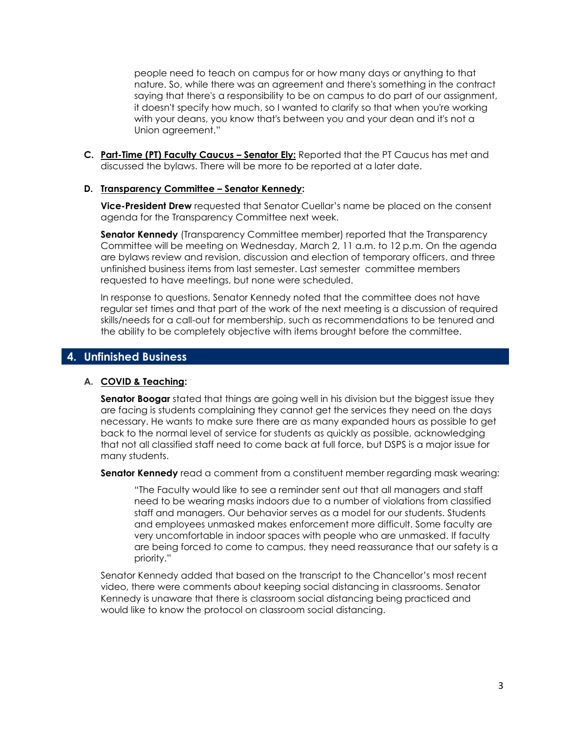people need to teach on campus for or how many days or anything to that nature. So, while there was an agreement and there's something in the contract saying that there's a responsibility to be on campus to do part of our assignment, it doesn't specify how much, so I wanted to clarify so that when you're working with your deans, you know that's between you and your dean and it's not a Union agreement."

**C. Part-Time (PT) Faculty Caucus – Senator Ely:** Reported that the PT Caucus has met and discussed the bylaws. There will be more to be reported at a later date.

#### **D. Transparency Committee – Senator Kennedy:**

**Vice-President Drew** requested that Senator Cuellar's name be placed on the consent agenda for the Transparency Committee next week.

**Senator Kennedy** (Transparency Committee member) reported that the Transparency Committee will be meeting on Wednesday, March 2, 11 a.m. to 12 p.m. On the agenda are bylaws review and revision, discussion and election of temporary officers, and three unfinished business items from last semester. Last semester committee members requested to have meetings, but none were scheduled.

In response to questions, Senator Kennedy noted that the committee does not have regular set times and that part of the work of the next meeting is a discussion of required skills/needs for a call-out for membership, such as recommendations to be tenured and the ability to be completely objective with items brought before the committee.

## **4. Unfinished Business**

#### **A. COVID & Teaching:**

**Senator Boogar** stated that things are going well in his division but the biggest issue they are facing is students complaining they cannot get the services they need on the days necessary. He wants to make sure there are as many expanded hours as possible to get back to the normal level of service for students as quickly as possible, acknowledging that not all classified staff need to come back at full force, but DSPS is a major issue for many students.

**Senator Kennedy** read a comment from a constituent member regarding mask wearing:

"The Faculty would like to see a reminder sent out that all managers and staff need to be wearing masks indoors due to a number of violations from classified staff and managers. Our behavior serves as a model for our students. Students and employees unmasked makes enforcement more difficult. Some faculty are very uncomfortable in indoor spaces with people who are unmasked. If faculty are being forced to come to campus, they need reassurance that our safety is a priority."

Senator Kennedy added that based on the transcript to the Chancellor's most recent video, there were comments about keeping social distancing in classrooms. Senator Kennedy is unaware that there is classroom social distancing being practiced and would like to know the protocol on classroom social distancing.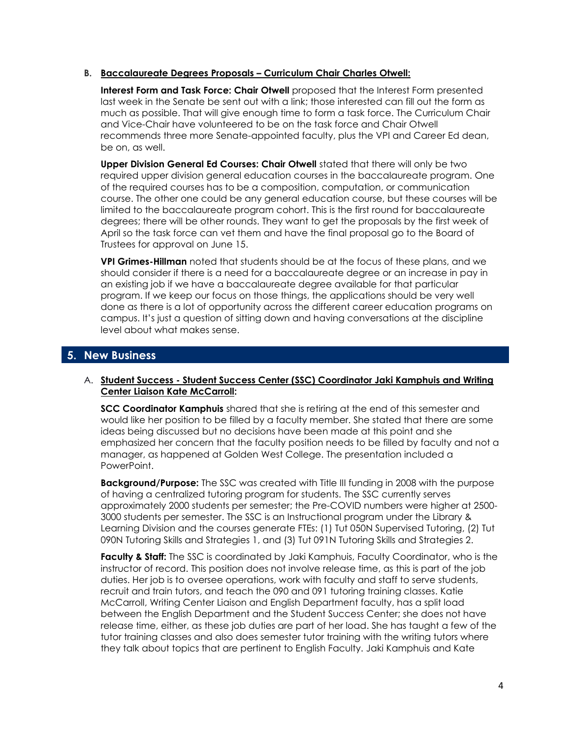#### **B. Baccalaureate Degrees Proposals – Curriculum Chair Charles Otwell:**

**Interest Form and Task Force: Chair Otwell** proposed that the Interest Form presented last week in the Senate be sent out with a link; those interested can fill out the form as much as possible. That will give enough time to form a task force. The Curriculum Chair and Vice-Chair have volunteered to be on the task force and Chair Otwell recommends three more Senate-appointed faculty, plus the VPI and Career Ed dean, be on, as well.

**Upper Division General Ed Courses: Chair Otwell** stated that there will only be two required upper division general education courses in the baccalaureate program. One of the required courses has to be a composition, computation, or communication course. The other one could be any general education course, but these courses will be limited to the baccalaureate program cohort. This is the first round for baccalaureate degrees; there will be other rounds. They want to get the proposals by the first week of April so the task force can vet them and have the final proposal go to the Board of Trustees for approval on June 15.

**VPI Grimes-Hillman** noted that students should be at the focus of these plans, and we should consider if there is a need for a baccalaureate degree or an increase in pay in an existing job if we have a baccalaureate degree available for that particular program. If we keep our focus on those things, the applications should be very well done as there is a lot of opportunity across the different career education programs on campus. It's just a question of sitting down and having conversations at the discipline level about what makes sense.

## **5. New Business**

#### A. **Student Success - Student Success Center (SSC) Coordinator Jaki Kamphuis and Writing Center Liaison Kate McCarroll:**

**SCC Coordinator Kamphuis** shared that she is retiring at the end of this semester and would like her position to be filled by a faculty member. She stated that there are some ideas being discussed but no decisions have been made at this point and she emphasized her concern that the faculty position needs to be filled by faculty and not a manager, as happened at Golden West College. The presentation included a PowerPoint.

**Background/Purpose:** The SSC was created with Title III funding in 2008 with the purpose of having a centralized tutoring program for students. The SSC currently serves approximately 2000 students per semester; the Pre-COVID numbers were higher at 2500- 3000 students per semester. The SSC is an Instructional program under the Library & Learning Division and the courses generate FTEs: (1) Tut 050N Supervised Tutoring, (2) Tut 090N Tutoring Skills and Strategies 1, and (3) Tut 091N Tutoring Skills and Strategies 2.

**Faculty & Staff:** The SSC is coordinated by Jaki Kamphuis, Faculty Coordinator, who is the instructor of record. This position does not involve release time, as this is part of the job duties. Her job is to oversee operations, work with faculty and staff to serve students, recruit and train tutors, and teach the 090 and 091 tutoring training classes. Katie McCarroll, Writing Center Liaison and English Department faculty, has a split load between the English Department and the Student Success Center; she does not have release time, either, as these job duties are part of her load. She has taught a few of the tutor training classes and also does semester tutor training with the writing tutors where they talk about topics that are pertinent to English Faculty. Jaki Kamphuis and Kate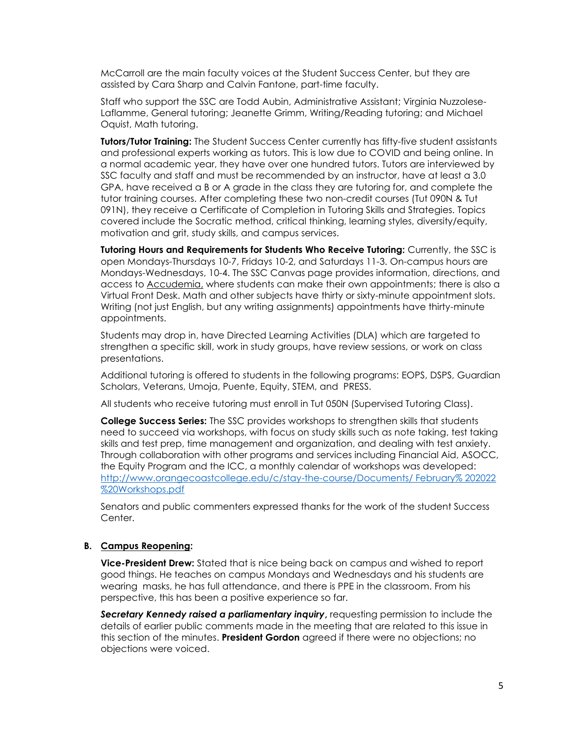McCarroll are the main faculty voices at the Student Success Center, but they are assisted by Cara Sharp and Calvin Fantone, part-time faculty.

Staff who support the SSC are Todd Aubin, Administrative Assistant; Virginia Nuzzolese-Laflamme, General tutoring; Jeanette Grimm, Writing/Reading tutoring; and Michael Oquist, Math tutoring.

**Tutors/Tutor Training:** The Student Success Center currently has fifty-five student assistants and professional experts working as tutors. This is low due to COVID and being online. In a normal academic year, they have over one hundred tutors. Tutors are interviewed by SSC faculty and staff and must be recommended by an instructor, have at least a 3.0 GPA, have received a B or A grade in the class they are tutoring for, and complete the tutor training courses. After completing these two non-credit courses (Tut 090N & Tut 091N), they receive a Certificate of Completion in Tutoring Skills and Strategies. Topics covered include the Socratic method, critical thinking, learning styles, diversity/equity, motivation and grit, study skills, and campus services.

**Tutoring Hours and Requirements for Students Who Receive Tutoring:** Currently, the SSC is open Mondays-Thursdays 10-7, Fridays 10-2, and Saturdays 11-3. On-campus hours are Mondays-Wednesdays, 10-4. The SSC Canvas page provides information, directions, and access to Accudemia, where students can make their own appointments; there is also a Virtual Front Desk. Math and other subjects have thirty or sixty-minute appointment slots. Writing (not just English, but any writing assignments) appointments have thirty-minute appointments.

Students may drop in, have Directed Learning Activities (DLA) which are targeted to strengthen a specific skill, work in study groups, have review sessions, or work on class presentations.

Additional tutoring is offered to students in the following programs: EOPS, DSPS, Guardian Scholars, Veterans, Umoja, Puente, Equity, STEM, and PRESS.

All students who receive tutoring must enroll in Tut 050N (Supervised Tutoring Class).

**College Success Series:** The SSC provides workshops to strengthen skills that students need to succeed via workshops, with focus on study skills such as note taking, test taking skills and test prep, time management and organization, and dealing with test anxiety. Through collaboration with other programs and services including Financial Aid, ASOCC, the Equity Program and the ICC, a monthly calendar of workshops was developed: [http://](http://www.orangecoastcollege.edu/c/stay-the-course/Documents/February%202022%20Workshops.pdf)[www.orangecoastcollege.edu/c/stay-the-course/Documents/ February% 202022](http://www.orangecoastcollege.edu/c/stay-the-course/Documents/%20February%25%20202022%20%20Workshops.pdf)  [%20Workshops.pdf](http://www.orangecoastcollege.edu/c/stay-the-course/Documents/%20February%25%20202022%20%20Workshops.pdf)

Senators and public commenters expressed thanks for the work of the student Success Center.

#### **B. Campus Reopening:**

**Vice-President Drew:** Stated that is nice being back on campus and wished to report good things. He teaches on campus Mondays and Wednesdays and his students are wearing masks, he has full attendance, and there is PPE in the classroom. From his perspective, this has been a positive experience so far.

*Secretary Kennedy raised a parliamentary inquiry***,** requesting permission to include the details of earlier public comments made in the meeting that are related to this issue in this section of the minutes. **President Gordon** agreed if there were no objections; no objections were voiced.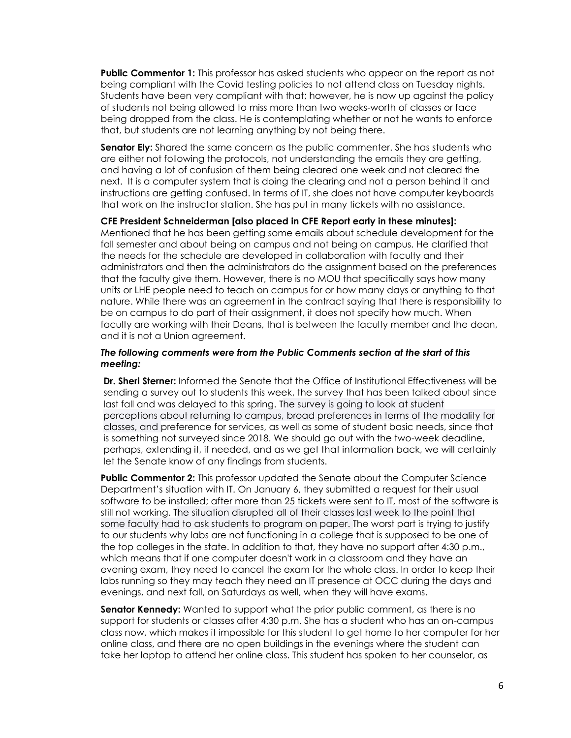**Public Commentor 1:** This professor has asked students who appear on the report as not being compliant with the Covid testing policies to not attend class on Tuesday nights. Students have been very compliant with that; however, he is now up against the policy of students not being allowed to miss more than two weeks-worth of classes or face being dropped from the class. He is contemplating whether or not he wants to enforce that, but students are not learning anything by not being there.

**Senator Ely:** Shared the same concern as the public commenter. She has students who are either not following the protocols, not understanding the emails they are getting, and having a lot of confusion of them being cleared one week and not cleared the next. It is a computer system that is doing the clearing and not a person behind it and instructions are getting confused. In terms of IT, she does not have computer keyboards that work on the instructor station. She has put in many tickets with no assistance.

#### **CFE President Schneiderman [also placed in CFE Report early in these minutes]:**

Mentioned that he has been getting some emails about schedule development for the fall semester and about being on campus and not being on campus. He clarified that the needs for the schedule are developed in collaboration with faculty and their administrators and then the administrators do the assignment based on the preferences that the faculty give them. However, there is no MOU that specifically says how many units or LHE people need to teach on campus for or how many days or anything to that nature. While there was an agreement in the contract saying that there is responsibility to be on campus to do part of their assignment, it does not specify how much. When faculty are working with their Deans, that is between the faculty member and the dean, and it is not a Union agreement.

#### *The following comments were from the Public Comments section at the start of this meeting:*

**Dr. Sheri Sterner:** Informed the Senate that the Office of Institutional Effectiveness will be sending a survey out to students this week, the survey that has been talked about since last fall and was delayed to this spring. The survey is going to look at student perceptions about returning to campus, broad preferences in terms of the modality for classes, and preference for services, as well as some of student basic needs, since that is something not surveyed since 2018. We should go out with the two-week deadline, perhaps, extending it, if needed, and as we get that information back, we will certainly let the Senate know of any findings from students.

**Public Commentor 2:** This professor updated the Senate about the Computer Science Department's situation with IT. On January 6, they submitted a request for their usual software to be installed; after more than 25 tickets were sent to IT, most of the software is still not working. The situation disrupted all of their classes last week to the point that some faculty had to ask students to program on paper. The worst part is trying to justify to our students why labs are not functioning in a college that is supposed to be one of the top colleges in the state. In addition to that, they have no support after 4:30 p.m., which means that if one computer doesn't work in a classroom and they have an evening exam, they need to cancel the exam for the whole class. In order to keep their labs running so they may teach they need an IT presence at OCC during the days and evenings, and next fall, on Saturdays as well, when they will have exams.

**Senator Kennedy:** Wanted to support what the prior public comment, as there is no support for students or classes after 4:30 p.m. She has a student who has an on-campus class now, which makes it impossible for this student to get home to her computer for her online class, and there are no open buildings in the evenings where the student can take her laptop to attend her online class. This student has spoken to her counselor, as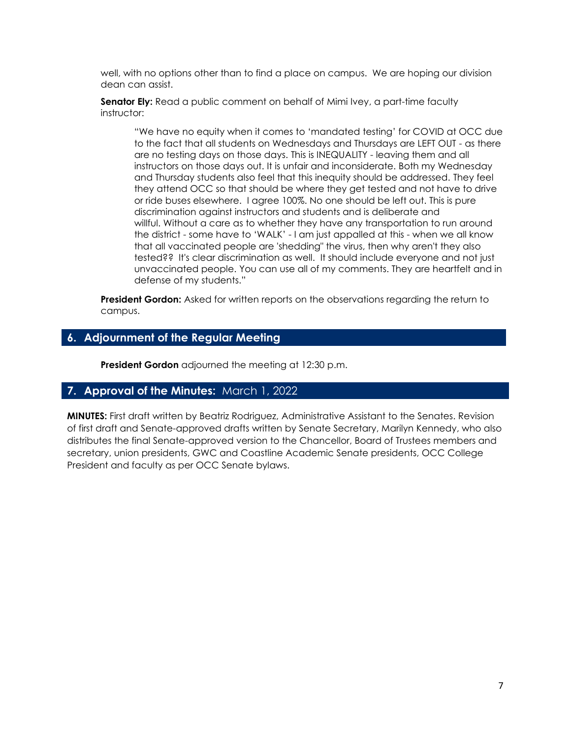well, with no options other than to find a place on campus. We are hoping our division dean can assist.

**Senator Ely:** Read a public comment on behalf of Mimi Ivey, a part-time faculty instructor:

"We have no equity when it comes to 'mandated testing' for COVID at OCC due to the fact that all students on Wednesdays and Thursdays are LEFT OUT - as there are no testing days on those days. This is INEQUALITY - leaving them and all instructors on those days out. It is unfair and inconsiderate. Both my Wednesday and Thursday students also feel that this inequity should be addressed. They feel they attend OCC so that should be where they get tested and not have to drive or ride buses elsewhere. I agree 100%. No one should be left out. This is pure discrimination against instructors and students and is deliberate and willful. Without a care as to whether they have any transportation to run around the district - some have to 'WALK' - I am just appalled at this - when we all know that all vaccinated people are 'shedding" the virus, then why aren't they also tested?? It's clear discrimination as well. It should include everyone and not just unvaccinated people. You can use all of my comments. They are heartfelt and in defense of my students."

**President Gordon:** Asked for written reports on the observations regarding the return to campus.

## **6. Adjournment of the Regular Meeting**

**President Gordon** adjourned the meeting at 12:30 p.m.

## **7. Approval of the Minutes:** March 1, 2022

**MINUTES:** First draft written by Beatriz Rodriguez, Administrative Assistant to the Senates. Revision of first draft and Senate-approved drafts written by Senate Secretary, Marilyn Kennedy, who also distributes the final Senate-approved version to the Chancellor, Board of Trustees members and secretary, union presidents, GWC and Coastline Academic Senate presidents, OCC College President and faculty as per OCC Senate bylaws.